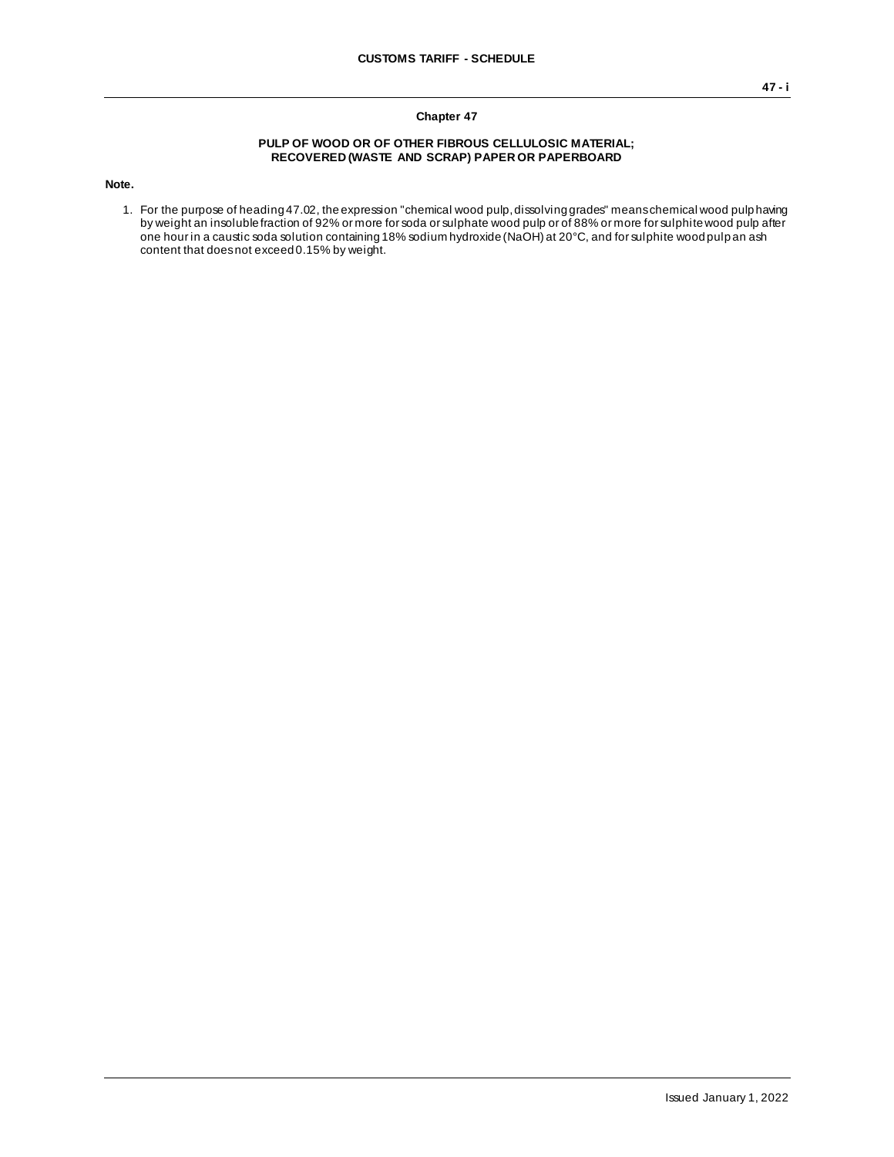## **Chapter 47**

## **PULP OF WOOD OR OF OTHER FIBROUS CELLULOSIC MATERIAL; RECOVERED (WASTE AND SCRAP) PAPER OR PAPERBOARD**

**Note.**

1. For the purpose of heading 47.02, the expression "chemical wood pulp, dissolving grades" means chemical wood pulp having by weight an insoluble fraction of 92% or more for soda or sulphate wood pulp or of 88% or more for sulphite wood pulp after one hour in a caustic soda solution containing 18% sodium hydroxide (NaOH) at 20°C, and for sulphite wood pulp an ash content that does not exceed 0.15% by weight.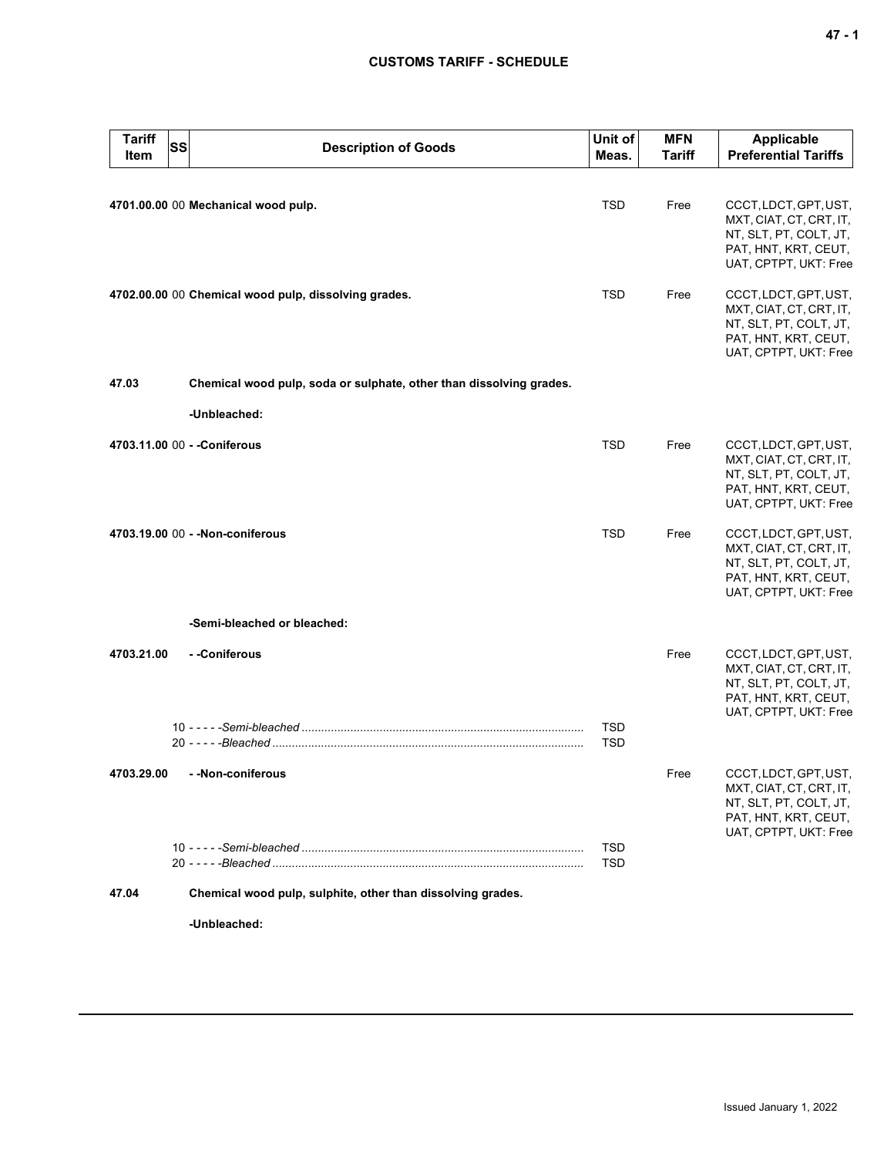## **CUSTOMS TARIFF - SCHEDULE**

| <b>Tariff</b><br>Item | <b>SS</b> | <b>Description of Goods</b>                                         | Unit of<br>Meas.         | <b>MFN</b><br><b>Tariff</b> | <b>Applicable</b><br><b>Preferential Tariffs</b>                                                                            |  |  |
|-----------------------|-----------|---------------------------------------------------------------------|--------------------------|-----------------------------|-----------------------------------------------------------------------------------------------------------------------------|--|--|
|                       |           |                                                                     |                          |                             |                                                                                                                             |  |  |
|                       |           | 4701.00.00 00 Mechanical wood pulp.                                 | <b>TSD</b>               | Free                        | CCCT, LDCT, GPT, UST,<br>MXT, CIAT, CT, CRT, IT,<br>NT, SLT, PT, COLT, JT,<br>PAT, HNT, KRT, CEUT,<br>UAT, CPTPT, UKT: Free |  |  |
|                       |           | 4702.00.00 00 Chemical wood pulp, dissolving grades.                | TSD                      | Free                        | CCCT, LDCT, GPT, UST,<br>MXT, CIAT, CT, CRT, IT,<br>NT, SLT, PT, COLT, JT,<br>PAT, HNT, KRT, CEUT,<br>UAT, CPTPT, UKT: Free |  |  |
| 47.03                 |           | Chemical wood pulp, soda or sulphate, other than dissolving grades. |                          |                             |                                                                                                                             |  |  |
|                       |           | -Unbleached:                                                        |                          |                             |                                                                                                                             |  |  |
|                       |           | 4703.11.00 00 - - Coniferous                                        | <b>TSD</b>               | Free                        | CCCT, LDCT, GPT, UST,<br>MXT, CIAT, CT, CRT, IT,<br>NT, SLT, PT, COLT, JT,<br>PAT, HNT, KRT, CEUT,<br>UAT, CPTPT, UKT: Free |  |  |
|                       |           | 4703.19.00 00 - - Non-coniferous                                    | <b>TSD</b>               | Free                        | CCCT, LDCT, GPT, UST,<br>MXT, CIAT, CT, CRT, IT,<br>NT, SLT, PT, COLT, JT,<br>PAT, HNT, KRT, CEUT,<br>UAT, CPTPT, UKT: Free |  |  |
|                       |           | -Semi-bleached or bleached:                                         |                          |                             |                                                                                                                             |  |  |
| 4703.21.00            |           | - -Coniferous                                                       |                          | Free                        | CCCT, LDCT, GPT, UST,<br>MXT, CIAT, CT, CRT, IT,<br>NT, SLT, PT, COLT, JT,<br>PAT, HNT, KRT, CEUT,<br>UAT, CPTPT, UKT: Free |  |  |
|                       |           |                                                                     | <b>TSD</b><br><b>TSD</b> |                             |                                                                                                                             |  |  |
| 4703.29.00            |           | - - Non-coniferous                                                  |                          | Free                        | CCCT, LDCT, GPT, UST,<br>MXT, CIAT, CT, CRT, IT,<br>NT, SLT, PT, COLT, JT,<br>PAT, HNT, KRT, CEUT,<br>UAT, CPTPT, UKT: Free |  |  |
|                       |           |                                                                     | <b>TSD</b><br><b>TSD</b> |                             |                                                                                                                             |  |  |
| 47.04                 |           | Chemical wood pulp, sulphite, other than dissolving grades.         |                          |                             |                                                                                                                             |  |  |
|                       |           | -Unbleached:                                                        |                          |                             |                                                                                                                             |  |  |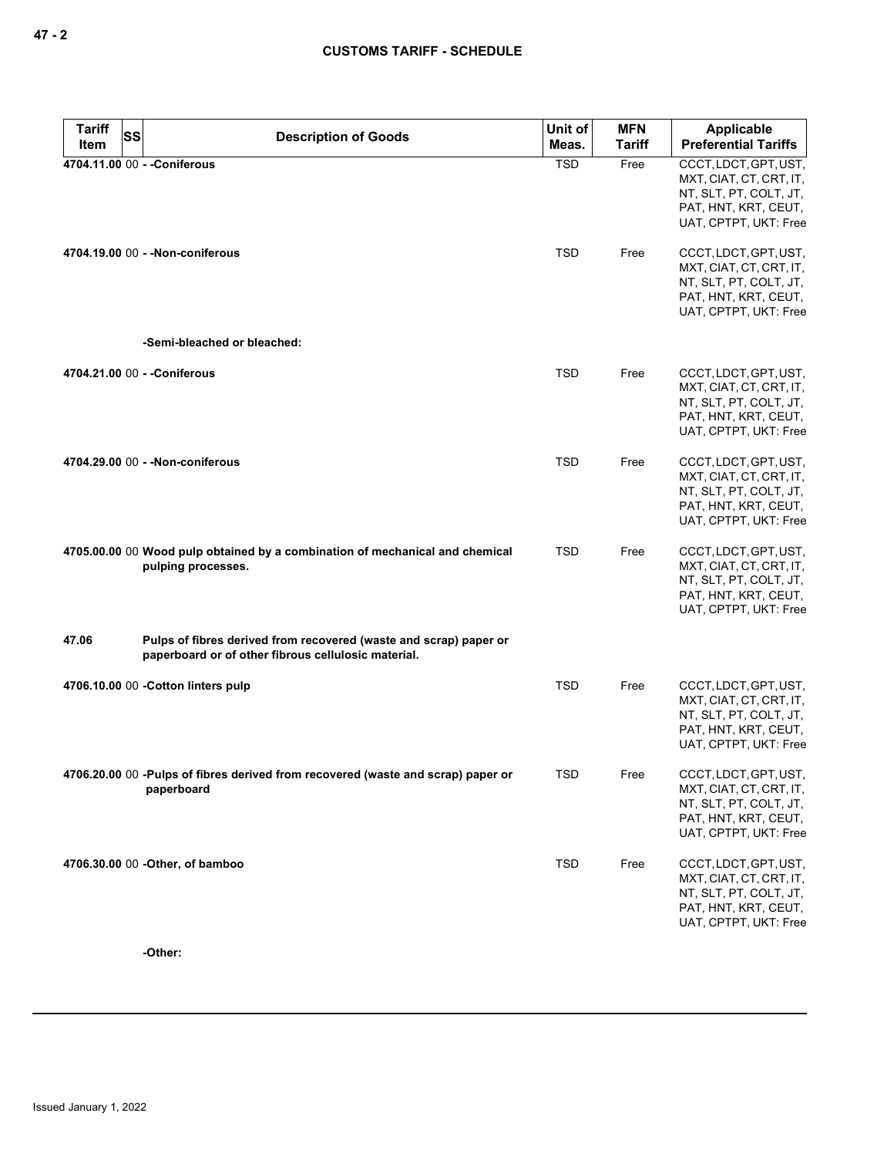| <b>Tariff</b> |  | SS<br><b>Description of Goods</b>                                                                                        | Unit of    | <b>MFN</b>    | <b>Applicable</b>                                                                                                           |
|---------------|--|--------------------------------------------------------------------------------------------------------------------------|------------|---------------|-----------------------------------------------------------------------------------------------------------------------------|
| Item          |  |                                                                                                                          | Meas.      | <b>Tariff</b> | <b>Preferential Tariffs</b>                                                                                                 |
|               |  | 4704.11.00 00 - - Coniferous                                                                                             | <b>TSD</b> | Free          | CCCT, LDCT, GPT, UST,<br>MXT, CIAT, CT, CRT, IT,<br>NT, SLT, PT, COLT, JT,<br>PAT, HNT, KRT, CEUT,<br>UAT, CPTPT, UKT: Free |
|               |  | 4704.19.00 00 - - Non-coniferous                                                                                         | <b>TSD</b> | Free          | CCCT, LDCT, GPT, UST,<br>MXT, CIAT, CT, CRT, IT,<br>NT, SLT, PT, COLT, JT,<br>PAT, HNT, KRT, CEUT,<br>UAT, CPTPT, UKT: Free |
|               |  | -Semi-bleached or bleached:                                                                                              |            |               |                                                                                                                             |
|               |  | 4704.21.00 00 - - Coniferous                                                                                             | <b>TSD</b> | Free          | CCCT, LDCT, GPT, UST,<br>MXT, CIAT, CT, CRT, IT,<br>NT, SLT, PT, COLT, JT,<br>PAT, HNT, KRT, CEUT,<br>UAT, CPTPT, UKT: Free |
|               |  | 4704.29.00 00 - - Non-coniferous                                                                                         | <b>TSD</b> | Free          | CCCT, LDCT, GPT, UST,<br>MXT, CIAT, CT, CRT, IT,<br>NT, SLT, PT, COLT, JT,<br>PAT, HNT, KRT, CEUT,<br>UAT, CPTPT, UKT: Free |
|               |  | 4705.00.00 00 Wood pulp obtained by a combination of mechanical and chemical<br>pulping processes.                       | <b>TSD</b> | Free          | CCCT, LDCT, GPT, UST,<br>MXT, CIAT, CT, CRT, IT,<br>NT, SLT, PT, COLT, JT,<br>PAT, HNT, KRT, CEUT,<br>UAT, CPTPT, UKT: Free |
| 47.06         |  | Pulps of fibres derived from recovered (waste and scrap) paper or<br>paperboard or of other fibrous cellulosic material. |            |               |                                                                                                                             |
|               |  | 4706.10.00 00 - Cotton linters pulp                                                                                      | <b>TSD</b> | Free          | CCCT, LDCT, GPT, UST,<br>MXT, CIAT, CT, CRT, IT,<br>NT, SLT, PT, COLT, JT,<br>PAT, HNT, KRT, CEUT,<br>UAT, CPTPT, UKT: Free |
|               |  | 4706.20.00 00 -Pulps of fibres derived from recovered (waste and scrap) paper or<br>paperboard                           | TSD        | Free          | CCCT, LDCT, GPT, UST,<br>MXT, CIAT, CT, CRT, IT,<br>NT, SLT, PT, COLT, JT,<br>PAT, HNT, KRT, CEUT,<br>UAT, CPTPT, UKT: Free |
|               |  | 4706.30.00 00 - Other, of bamboo                                                                                         | <b>TSD</b> | Free          | CCCT, LDCT, GPT, UST,<br>MXT, CIAT, CT, CRT, IT,<br>NT, SLT, PT, COLT, JT,<br>PAT, HNT, KRT, CEUT,<br>UAT, CPTPT, UKT: Free |

**-Other:**